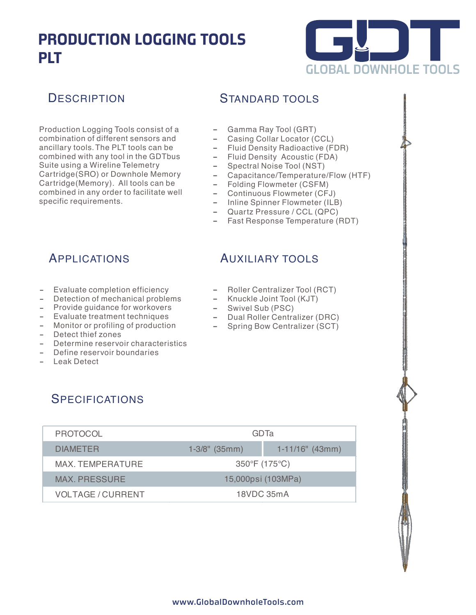# **PRODUCTION LOGGING TOOLS PLT**



### **DESCRIPTION**

Production Logging Tools consist of a combination of different sensors and ancillary tools.The PLT tools can be combined with any tool in the GDTbus Suite using a Wireline Telemetry Cartridge(SRO) or Downhole Memory Cartridge(Memory). All tools can be combined in any order to facilitate well specific requirements.

#### STANDARD TOOLS

- Gamma Ray Tool (GRT)
- Casing Collar Locator (CCL)
- 0 Fluid Density Radioactive (FDR)
- Fluid Density Acoustic (FDA)
- Spectral Noise Tool (NST)
- Capacitance/Temperature/Flow (HTF)
- Folding Flowmeter (CSFM)
- Continuous Flowmeter (CFJ)
- Inline Spinner Flowmeter (ILB)
- Quartz Pressure / CCL (QPC)
- Fast Response Temperature (RDT)

### APPLICATIONS

- Evaluate completion efficiency
- Detection of mechanical problems
- Provide guidance for workovers
- Evaluate treatment techniques
- Monitor or profiling of production
- Detect thief zones
- Determine reservoir characteristics
- Define reservoir boundaries
- Leak Detect

## AUXILIARY TOOLS

- Roller Centralizer Tool (RCT)
- $-$  Knuckle Joint Tool (KJT)
- Swivel Sub (PSC)
- Dual Roller Centralizer (DRC)
- Spring Bow Centralizer (SCT)

### **SPECIFICATIONS**

| <b>PROTOCOL</b>          | GDTa                         |                    |
|--------------------------|------------------------------|--------------------|
| <b>DIAMETER</b>          | $1-3/8$ " (35mm)             | $1-11/16$ " (43mm) |
| MAX. TEMPERATURE         | $350^{\circ}F(175^{\circ}C)$ |                    |
| <b>MAX. PRESSURE</b>     | 15,000psi (103MPa)           |                    |
| <b>VOLTAGE / CURRENT</b> | 18VDC 35mA                   |                    |